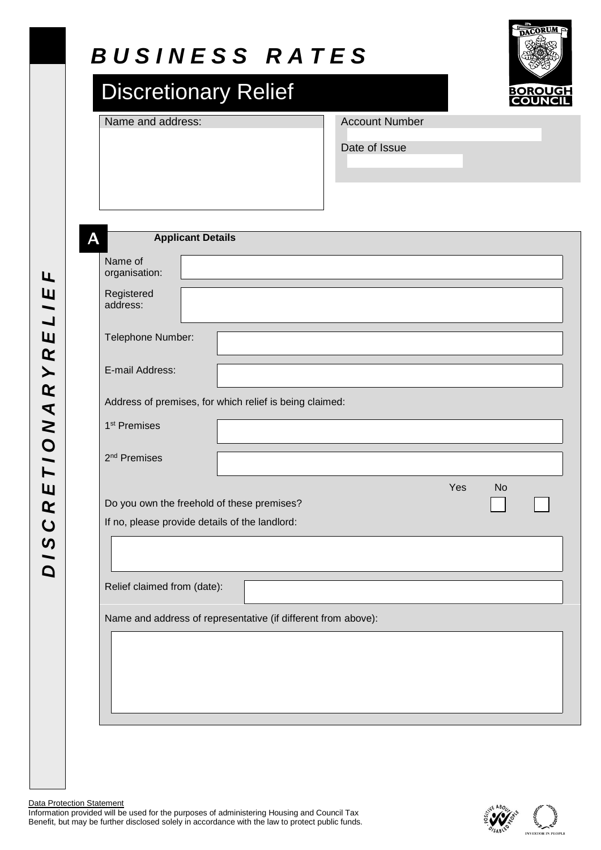# *B U S I N E S S R A T E S*

# Discretionary Relief

Name and address: Account Number



Date of Issue

**AApplicant Details** Name of organisation:  $\overline{L}$ *D I S C R E T I O N A R Y R E L I E F*  $L$  /  $E$ Registered address: E Telephone Number:  $\overline{\mathbf{R}}$  $\blacktriangleright$ E-mail Address:  $\overline{\mathbf{R}}$ Address of premises, for which relief is being claimed: DISCRETIONA 1 st Premises 2 nd Premises Do you own the freehold of these premises? If no, please provide details of the landlord: Relief claimed from (date): Name and address of representative (if different from above):

**Data Protection Statement** 

Information provided will be used for the purposes of administering Housing and Council Tax Benefit, but may be further disclosed solely in accordance with the law to protect public funds.



Yes No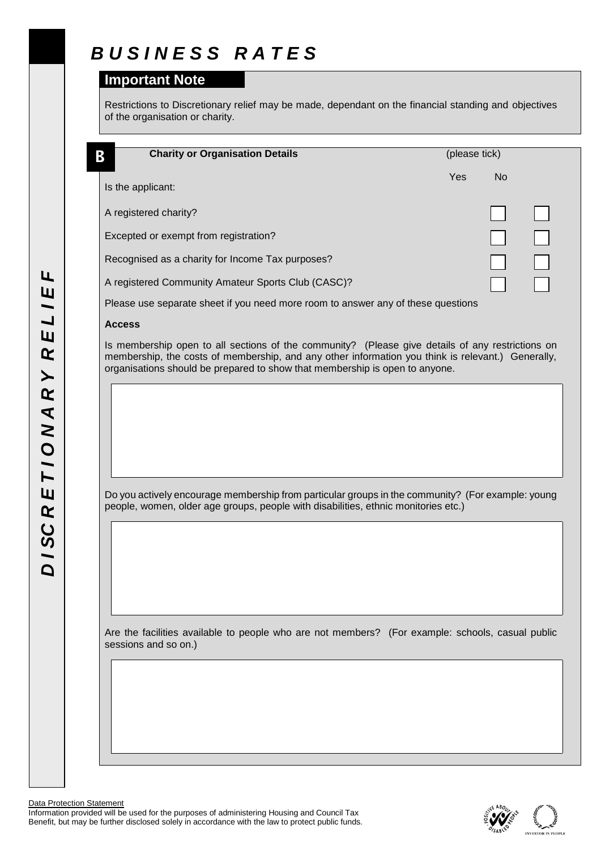# *B U S I N E S S R A T E S*

### **Important Note**

Restrictions to Discretionary relief may be made, dependant on the financial standing and objectives of the organisation or charity.

| <b>Charity or Organisation Details</b><br>В                                                                                                                                                                                                                                          | (please tick) |           |  |
|--------------------------------------------------------------------------------------------------------------------------------------------------------------------------------------------------------------------------------------------------------------------------------------|---------------|-----------|--|
|                                                                                                                                                                                                                                                                                      | Yes           | <b>No</b> |  |
| Is the applicant:                                                                                                                                                                                                                                                                    |               |           |  |
| A registered charity?                                                                                                                                                                                                                                                                |               |           |  |
| Excepted or exempt from registration?                                                                                                                                                                                                                                                |               |           |  |
| Recognised as a charity for Income Tax purposes?                                                                                                                                                                                                                                     |               |           |  |
| A registered Community Amateur Sports Club (CASC)?                                                                                                                                                                                                                                   |               |           |  |
| Please use separate sheet if you need more room to answer any of these questions                                                                                                                                                                                                     |               |           |  |
| <b>Access</b>                                                                                                                                                                                                                                                                        |               |           |  |
| Is membership open to all sections of the community? (Please give details of any restrictions on<br>membership, the costs of membership, and any other information you think is relevant.) Generally,<br>organisations should be prepared to show that membership is open to anyone. |               |           |  |
|                                                                                                                                                                                                                                                                                      |               |           |  |
|                                                                                                                                                                                                                                                                                      |               |           |  |
|                                                                                                                                                                                                                                                                                      |               |           |  |
|                                                                                                                                                                                                                                                                                      |               |           |  |
|                                                                                                                                                                                                                                                                                      |               |           |  |
|                                                                                                                                                                                                                                                                                      |               |           |  |
| Do you actively encourage membership from particular groups in the community? (For example: young                                                                                                                                                                                    |               |           |  |
| people, women, older age groups, people with disabilities, ethnic monitories etc.)                                                                                                                                                                                                   |               |           |  |
|                                                                                                                                                                                                                                                                                      |               |           |  |
|                                                                                                                                                                                                                                                                                      |               |           |  |
|                                                                                                                                                                                                                                                                                      |               |           |  |
|                                                                                                                                                                                                                                                                                      |               |           |  |
|                                                                                                                                                                                                                                                                                      |               |           |  |
| Are the facilities available to people who are not members? (For example: schools, casual public<br>sessions and so on.)                                                                                                                                                             |               |           |  |
|                                                                                                                                                                                                                                                                                      |               |           |  |
|                                                                                                                                                                                                                                                                                      |               |           |  |
|                                                                                                                                                                                                                                                                                      |               |           |  |
|                                                                                                                                                                                                                                                                                      |               |           |  |

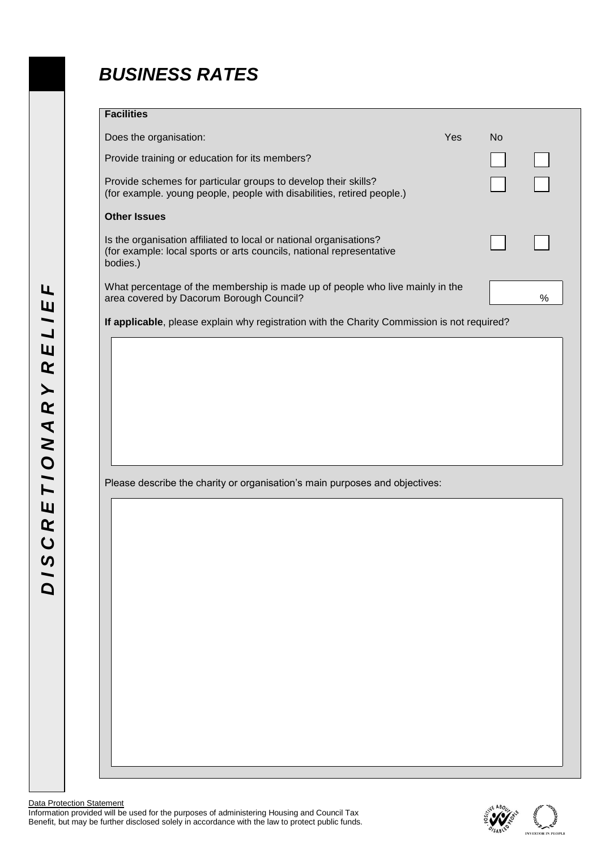### *BUSINESS RATES*

#### **Facilities**

| <u>wannoo</u>                                                                                                                                          |     |                |      |
|--------------------------------------------------------------------------------------------------------------------------------------------------------|-----|----------------|------|
| Does the organisation:                                                                                                                                 | Yes | N <sub>o</sub> |      |
| Provide training or education for its members?                                                                                                         |     |                |      |
| Provide schemes for particular groups to develop their skills?<br>(for example. young people, people with disabilities, retired people.)               |     |                |      |
| <b>Other Issues</b>                                                                                                                                    |     |                |      |
| Is the organisation affiliated to local or national organisations?<br>(for example: local sports or arts councils, national representative<br>bodies.) |     |                |      |
| What percentage of the membership is made up of people who live mainly in the<br>area covered by Dacorum Borough Council?                              |     |                | $\%$ |
| If applicable, please explain why registration with the Charity Commission is not required?                                                            |     |                |      |
|                                                                                                                                                        |     |                |      |
|                                                                                                                                                        |     |                |      |
|                                                                                                                                                        |     |                |      |
|                                                                                                                                                        |     |                |      |
|                                                                                                                                                        |     |                |      |
|                                                                                                                                                        |     |                |      |
|                                                                                                                                                        |     |                |      |
|                                                                                                                                                        |     |                |      |
|                                                                                                                                                        |     |                |      |
|                                                                                                                                                        |     |                |      |
|                                                                                                                                                        |     |                |      |
|                                                                                                                                                        |     |                |      |
|                                                                                                                                                        |     |                |      |
|                                                                                                                                                        |     |                |      |
|                                                                                                                                                        |     |                |      |
|                                                                                                                                                        |     |                |      |
|                                                                                                                                                        |     |                |      |
|                                                                                                                                                        |     |                |      |
|                                                                                                                                                        |     |                |      |
|                                                                                                                                                        |     |                |      |
| Please describe the charity or organisation's main purposes and objectives:                                                                            |     |                |      |
|                                                                                                                                                        |     |                |      |
|                                                                                                                                                        |     |                |      |